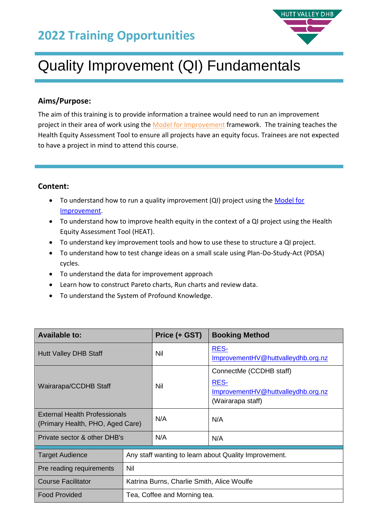### **2022 Training Opportunities**



# Quality Improvement (QI) Fundamentals

#### **Aims/Purpose:**

The aim of this training is to provide information a trainee would need to run an improvement project in their area of work using the [Model for Improvement](http://www.ihi.org/resources/Pages/HowtoImprove/default.aspx) framework. The training teaches the Health Equity Assessment Tool to ensure all projects have an equity focus. Trainees are not expected to have a project in mind to attend this course.

#### **Content:**

- To understand how to run a quality improvement (QI) project using the Model for [Improvement.](http://www.ihi.org/resources/Pages/HowtoImprove/default.aspx)
- To understand how to improve health equity in the context of a QI project using the Health Equity Assessment Tool (HEAT).
- To understand key improvement tools and how to use these to structure a QI project.
- To understand how to test change ideas on a small scale using Plan-Do-Study-Act (PDSA) cycles.
- To understand the data for improvement approach
- Learn how to construct Pareto charts, Run charts and review data.
- To understand the System of Profound Knowledge.

| <b>Available to:</b>                                                     |                                                       | Price (+ GST) | <b>Booking Method</b>                                                                             |  |
|--------------------------------------------------------------------------|-------------------------------------------------------|---------------|---------------------------------------------------------------------------------------------------|--|
| <b>Hutt Valley DHB Staff</b>                                             |                                                       | Nil           | <u>RES-</u><br>ImprovementHV@huttvalleydhb.org.nz                                                 |  |
| Wairarapa/CCDHB Staff                                                    |                                                       | Nil           | ConnectMe (CCDHB staff)<br><u>RES-</u><br>ImprovementHV@huttvalleydhb.org.nz<br>(Wairarapa staff) |  |
| <b>External Health Professionals</b><br>(Primary Health, PHO, Aged Care) |                                                       | N/A           | N/A                                                                                               |  |
| Private sector & other DHB's                                             |                                                       | N/A           | N/A                                                                                               |  |
| <b>Target Audience</b>                                                   | Any staff wanting to learn about Quality Improvement. |               |                                                                                                   |  |
| Pre reading requirements                                                 | <b>Nil</b>                                            |               |                                                                                                   |  |
| <b>Course Facilitator</b>                                                | Katrina Burns, Charlie Smith, Alice Woulfe            |               |                                                                                                   |  |
| <b>Food Provided</b>                                                     | Tea, Coffee and Morning tea.                          |               |                                                                                                   |  |